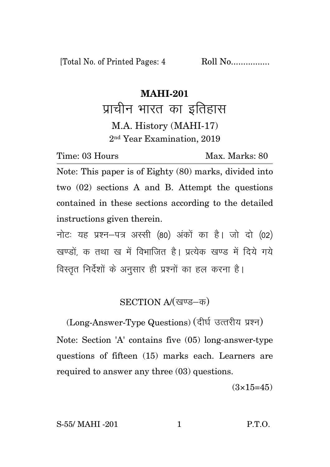[Total No. of Printed Pages: 4 Roll No.................

## **MAHI-201**

प्राचीन भारत का इतिहास M.A. History (MAHI-17) 2 nd Year Examination, 2019

Time: 03 Hours Max. Marks: 80

Note: This paper is of Eighty (80) marks, divided into two (02) sections A and B. Attempt the questions contained in these sections according to the detailed instructions given therein.

नोट: यह प्रश्न-पत्र अस्सी (80) अंकों का है। जो दो (02) खण्डों क तथा ख में विभाजित है। प्रत्येक खण्ड में दिये गये विस्तृत निर्देशों के अनुसार ही प्रश्नों का हल करना है।

## SECTION A/(खण्ड-क)

(Long-Answer-Type Questions) (दीर्घ उत्तरीय प्रश्न) Note: Section 'A' contains five (05) long-answer-type questions of fifteen (15) marks each. Learners are required to answer any three (03) questions.

 $(3\times15=45)$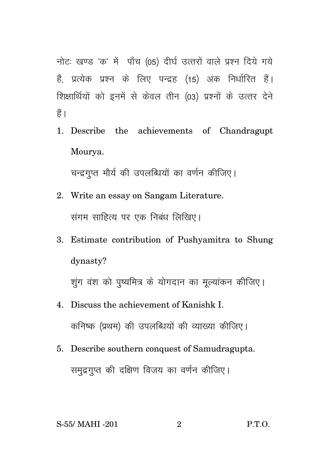नोट: खण्ड 'क' में पाँच (05) दीर्घ उत्तरों वाले प्रश्न दिये गये हैं, प्रत्येक प्रश्न के लिए पन्द्रह (15) अंक निर्धारित हैं। शिक्षार्थियों को इनमें से केवल तीन (03) प्रश्नों के उत्तर देने हैं ।

1. Describe the achievements of Chandragupt Mourya.

चन्द्रगुप्त मौर्य की उपलब्धियों का वर्णन कीजिए।

- 2. Write an essay on Sangam Literature. संगम साहित्य पर एक निबंध लिखिए।
- 3. Estimate contribution of Pushyamitra to Shung dynasty?

शुंग वंश को पृष्यमित्र के योगदान का मुल्यांकन कीजिए।

- 4. Discuss the achievement of Kanishk I. कनिष्क (प्रथम) की उपलब्धियों की व्याख्या कीजिए।
- 5. Describe southern conquest of Samudragupta. समुद्रगुप्त की दक्षिण विजय का वर्णन कीजिए।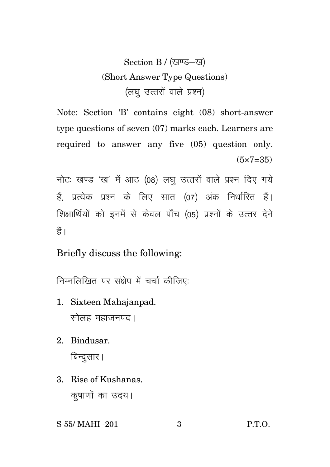Section B / (खण्ड-ख) (Short Answer Type Questions) (लघ उत्तरों वाले प्रश्न)

Note: Section 'B' contains eight (08) short-answer type questions of seven (07) marks each. Learners are required to answer any five (05) question only.  $(5 \times 7 = 35)$ 

नोटः खण्ड 'ख' में आठ (08) लघु उत्तरों वाले प्रश्न दिए गये हैं प्रत्येक प्रश्न के लिए सात (07) अंक निर्धारित हैं। शिक्षार्थियों को इनमें से केवल पाँच (05) प्रश्नों के उत्तर देने हैं।

Briefly discuss the following:

निम्नलिखित पर संक्षेप में चर्चा कीजिए:

- 1. Sixteen Mahajanpad. सोलह महाजनपद।
- 2. Bindusar. बिन्दुसार।
- 3. Rise of Kushanas. क़्षाणों का उदय।